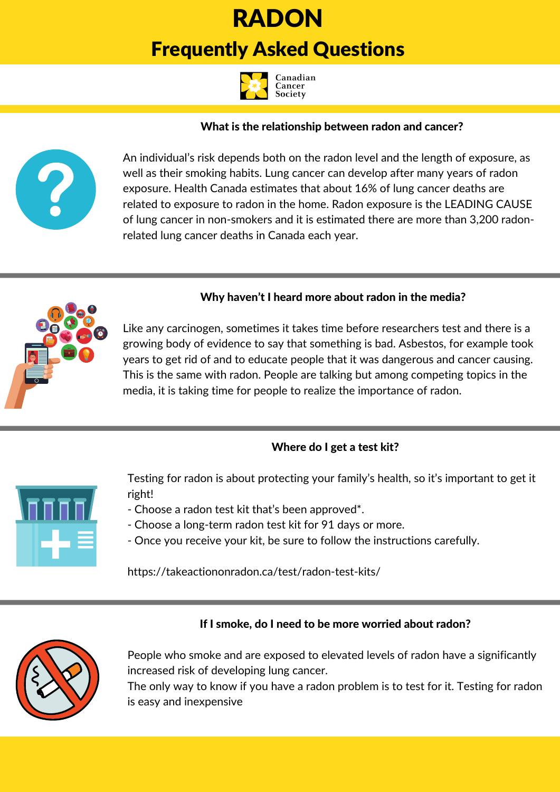# RADON Frequently [Asked](http://cancer.ca/) Questions



## What is the relationship between radon and cancer?



An individual's risk depends both on the radon level and the length of exposure, as well as their smoking habits. Lung cancer can develop after many years of radon exposure. Health Canada estimates that about 16% of lung cancer deaths are related to exposure to radon in the home. Radon exposure is the LEADING CAUSE of lung cancer in non-smokers and it is estimated there are more than 3,200 radonrelated lung cancer deaths in Canada each year.



### Why haven't I heard more about radon in the media?

Like any carcinogen, sometimes it takes time before researchers test and there is a growing body of evidence to say that something is bad. Asbestos, for example took years to get rid of and to educate people that it was dangerous and cancer causing. This is the same with radon. People are talking but among competing topics in the media, it is taking time for people to realize the importance of radon.

### Where do I get a test kit?



Testing for radon is about protecting your family's health, so it's important to get it right!

- Choose a radon test kit that's been approved\*.
- Choose a long-term radon test kit for 91 days or more.
- Once you receive your kit, be sure to follow the instructions carefully.

<https://takeactiononradon.ca/test/radon-test-kits/>

## If I smoke, do I need to be more worried about radon?



People who smoke and are exposed to elevated levels of radon have a significantly increased risk of developing lung cancer.

The only way to know if you have a radon problem is to test for it. Testing for radon is easy and inexpensive